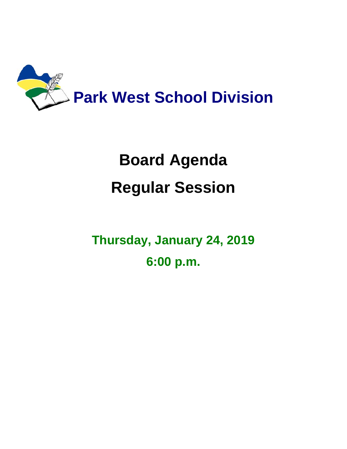

## **Board Agenda Regular Session**

**Thursday, January 24, 2019 6:00 p.m.**